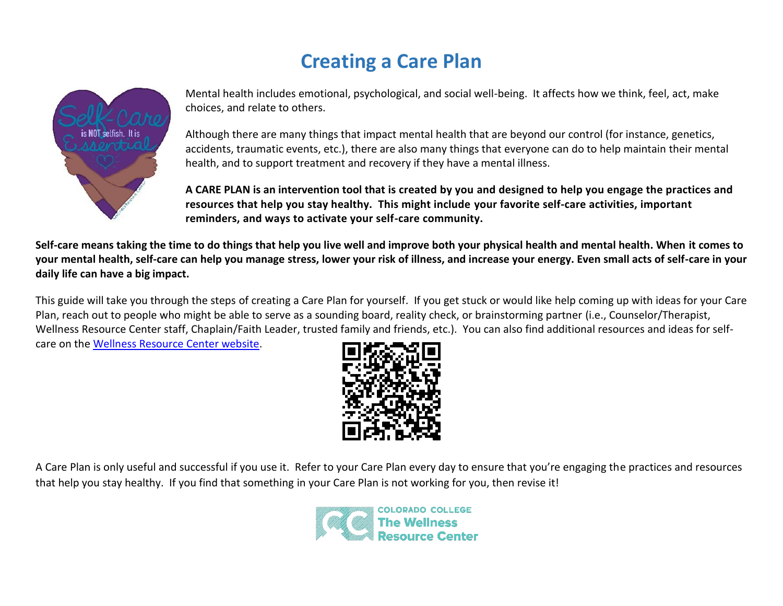# **Creating a Care Plan**



Mental health includes emotional, psychological, and social well-being. It affects how we think, feel, act, make choices, and relate to others.

Although there are many things that impact mental health that are beyond our control (for instance, genetics, accidents, traumatic events, etc.), there are also many things that everyone can do to help maintain their mental health, and to support treatment and recovery if they have a mental illness.

**A CARE PLAN is an intervention tool that is created by you and designed to help you engage the practices and resources that help you stay healthy. This might include your favorite self-care activities, important reminders, and ways to activate your self-care community.** 

**Self-care means taking the time to do things that help you live well and improve both your physical health and mental health. When it comes to your mental health, self-care can help you manage stress, lower your risk of illness, and increase your energy. Even small acts of self-care in your daily life can have a big impact.** 

This guide will take you through the steps of creating a Care Plan for yourself. If you get stuck or would like help coming up with ideas for your Care Plan, reach out to people who might be able to serve as a sounding board, reality check, or brainstorming partner (i.e., Counselor/Therapist, Wellness Resource Center staff, Chaplain/Faith Leader, trusted family and friends, etc.). You can also find additional resources and ideas for selfcare on the [Wellness Resource Center website.](https://www.coloradocollege.edu/other/wellness/resources-education/handouts.html)



A Care Plan is only useful and successful if you use it. Refer to your Care Plan every day to ensure that you're engaging the practices and resources that help you stay healthy. If you find that something in your Care Plan is not working for you, then revise it!

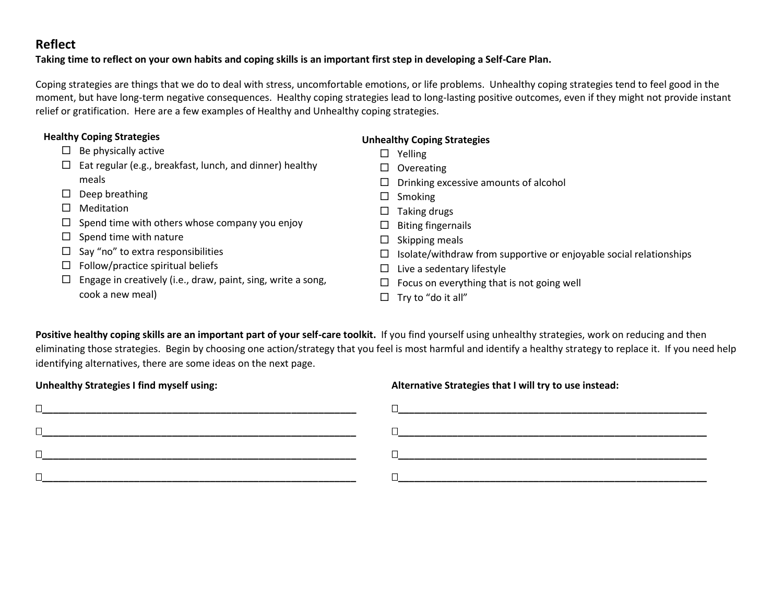#### **Reflect**

#### **Taking time to reflect on your own habits and coping skills is an important first step in developing a Self-Care Plan.**

Coping strategies are things that we do to deal with stress, uncomfortable emotions, or life problems. Unhealthy coping strategies tend to feel good in the moment, but have long-term negative consequences. Healthy coping strategies lead to long-lasting positive outcomes, even if they might not provide instant relief or gratification. Here are a few examples of Healthy and Unhealthy coping strategies.

| <b>Healthy Coping Strategies</b> |                                                              | <b>Unhealthy Coping Strategies</b>                                      |  |  |
|----------------------------------|--------------------------------------------------------------|-------------------------------------------------------------------------|--|--|
|                                  | Be physically active                                         | Yelling<br>□                                                            |  |  |
| □                                | Eat regular (e.g., breakfast, lunch, and dinner) healthy     | Overeating<br>ப                                                         |  |  |
|                                  | meals                                                        | Drinking excessive amounts of alcohol<br>ப                              |  |  |
| ப                                | Deep breathing                                               | Smoking<br>ப                                                            |  |  |
|                                  | Meditation                                                   | Taking drugs<br>ப                                                       |  |  |
|                                  | Spend time with others whose company you enjoy               | <b>Biting fingernails</b><br>ப                                          |  |  |
|                                  | Spend time with nature                                       | Skipping meals<br>$\Box$                                                |  |  |
|                                  | Say "no" to extra responsibilities                           | Isolate/withdraw from supportive or enjoyable social relationships<br>ப |  |  |
| $\Box$                           | Follow/practice spiritual beliefs                            | Live a sedentary lifestyle<br>ப                                         |  |  |
|                                  | Engage in creatively (i.e., draw, paint, sing, write a song, | Focus on everything that is not going well<br>ப                         |  |  |
|                                  | cook a new meal)                                             | Try to "do it all"                                                      |  |  |

Positive healthy coping skills are an important part of your self-care toolkit. If you find yourself using unhealthy strategies, work on reducing and then eliminating those strategies. Begin by choosing one action/strategy that you feel is most harmful and identify a healthy strategy to replace it. If you need help identifying alternatives, there are some ideas on the next page.

| Unneariny Strategies Filmd myself using: | Alternative Strategies that I will try to use instead: |  |  |
|------------------------------------------|--------------------------------------------------------|--|--|
|                                          |                                                        |  |  |
|                                          |                                                        |  |  |
|                                          |                                                        |  |  |
|                                          |                                                        |  |  |
|                                          |                                                        |  |  |

Unhealthy Strategies I find myself using: **Alternative Strategies that I will try to use instead:**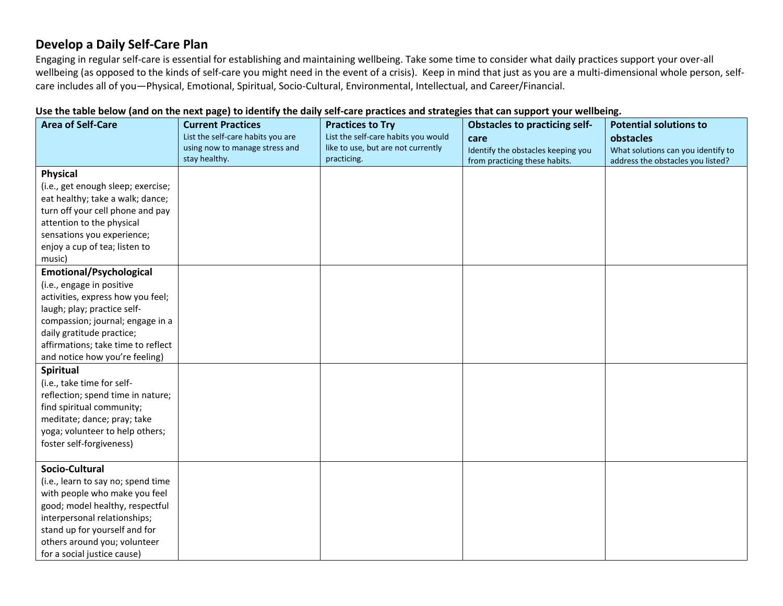#### **Develop a Daily Self-Care Plan**

Engaging in regular self-care is essential for establishing and maintaining wellbeing. Take some time to consider what daily practices support your over-all wellbeing (as opposed to the kinds of self-care you might need in the event of a crisis). Keep in mind that just as you are a multi-dimensional whole person, selfcare includes all of you—Physical, Emotional, Spiritual, Socio-Cultural, Environmental, Intellectual, and Career/Financial.

| Use the table below (and on the next page) to identify the daily self-care practices and strategies that can support your wellbeing. |  |  |  |
|--------------------------------------------------------------------------------------------------------------------------------------|--|--|--|
|                                                                                                                                      |  |  |  |

| <b>Area of Self-Care</b>           | <b>Current Practices</b><br>List the self-care habits you are<br>using now to manage stress and | <b>Practices to Try</b><br>List the self-care habits you would<br>like to use, but are not currently | <b>Obstacles to practicing self-</b><br>care                        | <b>Potential solutions to</b><br>obstacles                              |
|------------------------------------|-------------------------------------------------------------------------------------------------|------------------------------------------------------------------------------------------------------|---------------------------------------------------------------------|-------------------------------------------------------------------------|
|                                    | stay healthy.                                                                                   | practicing.                                                                                          | Identify the obstacles keeping you<br>from practicing these habits. | What solutions can you identify to<br>address the obstacles you listed? |
| <b>Physical</b>                    |                                                                                                 |                                                                                                      |                                                                     |                                                                         |
| (i.e., get enough sleep; exercise; |                                                                                                 |                                                                                                      |                                                                     |                                                                         |
| eat healthy; take a walk; dance;   |                                                                                                 |                                                                                                      |                                                                     |                                                                         |
| turn off your cell phone and pay   |                                                                                                 |                                                                                                      |                                                                     |                                                                         |
| attention to the physical          |                                                                                                 |                                                                                                      |                                                                     |                                                                         |
| sensations you experience;         |                                                                                                 |                                                                                                      |                                                                     |                                                                         |
| enjoy a cup of tea; listen to      |                                                                                                 |                                                                                                      |                                                                     |                                                                         |
| music)                             |                                                                                                 |                                                                                                      |                                                                     |                                                                         |
| <b>Emotional/Psychological</b>     |                                                                                                 |                                                                                                      |                                                                     |                                                                         |
| (i.e., engage in positive          |                                                                                                 |                                                                                                      |                                                                     |                                                                         |
| activities, express how you feel;  |                                                                                                 |                                                                                                      |                                                                     |                                                                         |
| laugh; play; practice self-        |                                                                                                 |                                                                                                      |                                                                     |                                                                         |
| compassion; journal; engage in a   |                                                                                                 |                                                                                                      |                                                                     |                                                                         |
| daily gratitude practice;          |                                                                                                 |                                                                                                      |                                                                     |                                                                         |
| affirmations; take time to reflect |                                                                                                 |                                                                                                      |                                                                     |                                                                         |
| and notice how you're feeling)     |                                                                                                 |                                                                                                      |                                                                     |                                                                         |
| Spiritual                          |                                                                                                 |                                                                                                      |                                                                     |                                                                         |
| (i.e., take time for self-         |                                                                                                 |                                                                                                      |                                                                     |                                                                         |
| reflection; spend time in nature;  |                                                                                                 |                                                                                                      |                                                                     |                                                                         |
| find spiritual community;          |                                                                                                 |                                                                                                      |                                                                     |                                                                         |
| meditate; dance; pray; take        |                                                                                                 |                                                                                                      |                                                                     |                                                                         |
| yoga; volunteer to help others;    |                                                                                                 |                                                                                                      |                                                                     |                                                                         |
| foster self-forgiveness)           |                                                                                                 |                                                                                                      |                                                                     |                                                                         |
|                                    |                                                                                                 |                                                                                                      |                                                                     |                                                                         |
| Socio-Cultural                     |                                                                                                 |                                                                                                      |                                                                     |                                                                         |
| (i.e., learn to say no; spend time |                                                                                                 |                                                                                                      |                                                                     |                                                                         |
| with people who make you feel      |                                                                                                 |                                                                                                      |                                                                     |                                                                         |
| good; model healthy, respectful    |                                                                                                 |                                                                                                      |                                                                     |                                                                         |
| interpersonal relationships;       |                                                                                                 |                                                                                                      |                                                                     |                                                                         |
| stand up for yourself and for      |                                                                                                 |                                                                                                      |                                                                     |                                                                         |
| others around you; volunteer       |                                                                                                 |                                                                                                      |                                                                     |                                                                         |
| for a social justice cause)        |                                                                                                 |                                                                                                      |                                                                     |                                                                         |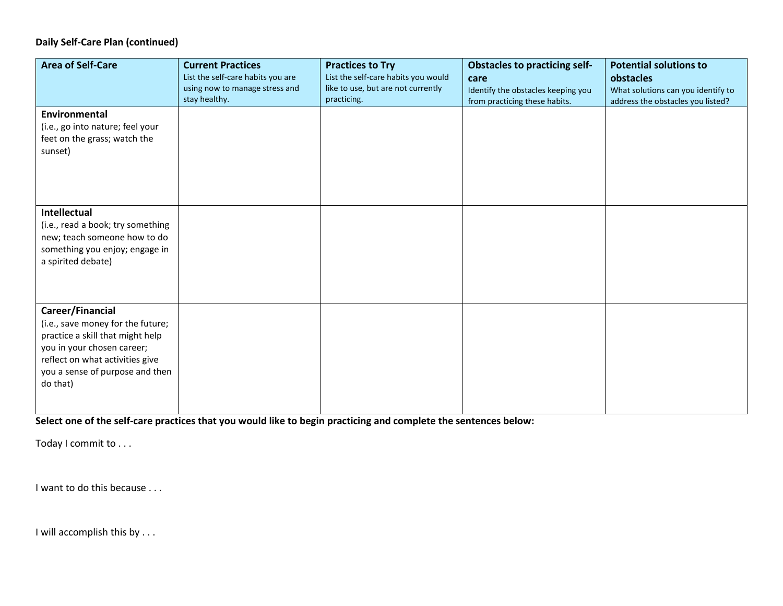#### **Daily Self-Care Plan (continued)**

| <b>Area of Self-Care</b>                                                                                                                                                                                  | <b>Current Practices</b><br>List the self-care habits you are<br>using now to manage stress and<br>stay healthy. | <b>Practices to Try</b><br>List the self-care habits you would<br>like to use, but are not currently<br>practicing. | <b>Obstacles to practicing self-</b><br>care<br>Identify the obstacles keeping you<br>from practicing these habits. | <b>Potential solutions to</b><br>obstacles<br>What solutions can you identify to<br>address the obstacles you listed? |
|-----------------------------------------------------------------------------------------------------------------------------------------------------------------------------------------------------------|------------------------------------------------------------------------------------------------------------------|---------------------------------------------------------------------------------------------------------------------|---------------------------------------------------------------------------------------------------------------------|-----------------------------------------------------------------------------------------------------------------------|
| Environmental<br>(i.e., go into nature; feel your<br>feet on the grass; watch the<br>sunset)                                                                                                              |                                                                                                                  |                                                                                                                     |                                                                                                                     |                                                                                                                       |
| <b>Intellectual</b><br>(i.e., read a book; try something<br>new; teach someone how to do<br>something you enjoy; engage in<br>a spirited debate)                                                          |                                                                                                                  |                                                                                                                     |                                                                                                                     |                                                                                                                       |
| Career/Financial<br>(i.e., save money for the future;<br>practice a skill that might help<br>you in your chosen career;<br>reflect on what activities give<br>you a sense of purpose and then<br>do that) |                                                                                                                  |                                                                                                                     |                                                                                                                     |                                                                                                                       |

**Select one of the self-care practices that you would like to begin practicing and complete the sentences below:**

Today I commit to . . .

I want to do this because . . .

I will accomplish this by . . .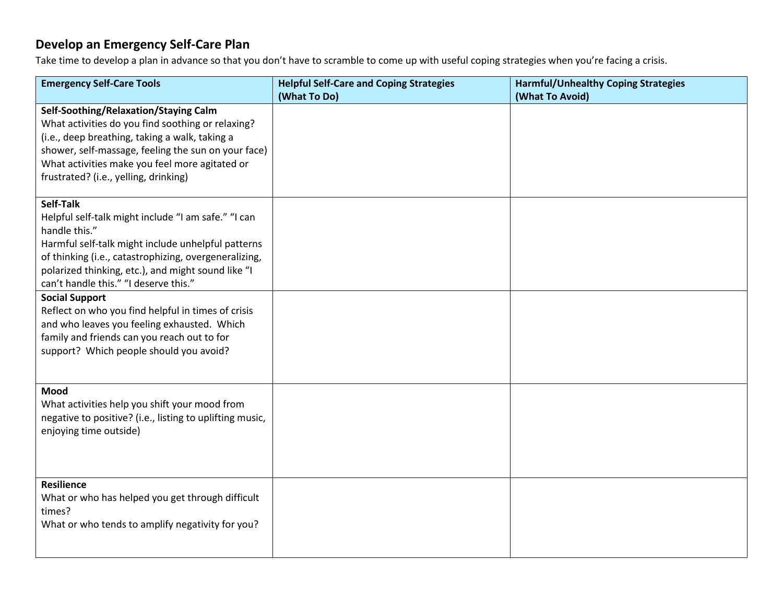## **Develop an Emergency Self-Care Plan**

Take time to develop a plan in advance so that you don't have to scramble to come up with useful coping strategies when you're facing a crisis.

| <b>Emergency Self-Care Tools</b>                                                                                                                                                                                                                                                                            | <b>Helpful Self-Care and Coping Strategies</b> | <b>Harmful/Unhealthy Coping Strategies</b> |
|-------------------------------------------------------------------------------------------------------------------------------------------------------------------------------------------------------------------------------------------------------------------------------------------------------------|------------------------------------------------|--------------------------------------------|
| Self-Soothing/Relaxation/Staying Calm<br>What activities do you find soothing or relaxing?<br>(i.e., deep breathing, taking a walk, taking a<br>shower, self-massage, feeling the sun on your face)<br>What activities make you feel more agitated or<br>frustrated? (i.e., yelling, drinking)<br>Self-Talk | (What To Do)                                   | (What To Avoid)                            |
| Helpful self-talk might include "I am safe." "I can<br>handle this."<br>Harmful self-talk might include unhelpful patterns<br>of thinking (i.e., catastrophizing, overgeneralizing,<br>polarized thinking, etc.), and might sound like "I<br>can't handle this." "I deserve this."<br><b>Social Support</b> |                                                |                                            |
| Reflect on who you find helpful in times of crisis<br>and who leaves you feeling exhausted. Which<br>family and friends can you reach out to for<br>support? Which people should you avoid?                                                                                                                 |                                                |                                            |
| Mood<br>What activities help you shift your mood from<br>negative to positive? (i.e., listing to uplifting music,<br>enjoying time outside)                                                                                                                                                                 |                                                |                                            |
| <b>Resilience</b><br>What or who has helped you get through difficult<br>times?<br>What or who tends to amplify negativity for you?                                                                                                                                                                         |                                                |                                            |